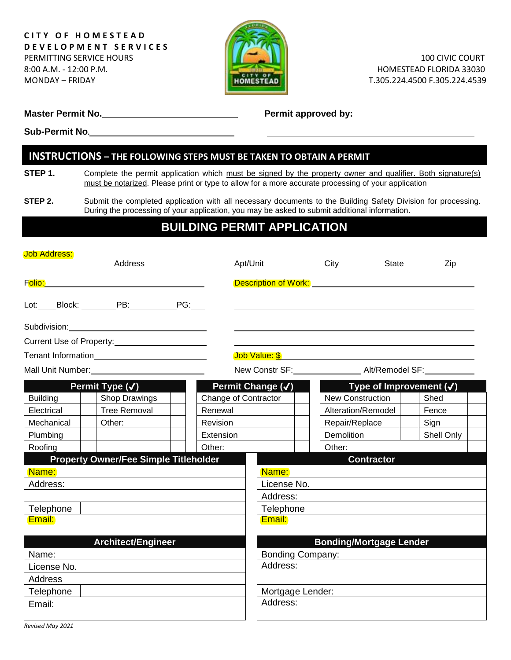

 100 CIVIC COURT HOMESTEAD FLORIDA 33030

**Master Permit No. Permit Allergie 2018 Permit approved by:** 

**Sub-Permit No.**

# **INSTRUCTIONS – THE FOLLOWING STEPS MUST BE TAKEN TO OBTAIN A PERMIT**

**STEP 1.** Complete the permit application which must be signed by the property owner and qualifier. Both signature(s) must be notarized. Please print or type to allow for a more accurate processing of your application

**STEP 2.** Submit the completed application with all necessary documents to the Building Safety Division for processing. During the processing of your application, you may be asked to submit additional information.

# **BUILDING PERMIT APPLICATION**

| <b>Job Address:</b> |                                                                                                                                                                                                                                            |  |                      |                  |                                         |              |                                    |  |
|---------------------|--------------------------------------------------------------------------------------------------------------------------------------------------------------------------------------------------------------------------------------------|--|----------------------|------------------|-----------------------------------------|--------------|------------------------------------|--|
|                     | Address                                                                                                                                                                                                                                    |  | Apt/Unit             |                  | City                                    | <b>State</b> | Zip                                |  |
|                     | F <mark>olio:</mark> The contract of the contract of the contract of the contract of the contract of the contract of the contract of the contract of the contract of the contract of the contract of the contract of the contract of the c |  |                      |                  | Description of Work: <b>Description</b> |              |                                    |  |
|                     | Lot:_____Block: __________PB:______________PG:____                                                                                                                                                                                         |  |                      |                  |                                         |              |                                    |  |
|                     | Subdivision: Value of the Contract of the Contract of the Contract of the Contract of the Contract of the Contract of the Contract of the Contract of the Contract of the Contract of the Contract of the Contract of the Cont             |  |                      |                  |                                         |              |                                    |  |
|                     |                                                                                                                                                                                                                                            |  |                      |                  |                                         |              |                                    |  |
|                     | <b>Tenant Information Example 2016</b>                                                                                                                                                                                                     |  |                      |                  | Job Value: \$ {}                        |              |                                    |  |
|                     | Mall Unit Number: We have a state of the state of the state of the state of the state of the state of the state of the state of the state of the state of the state of the state of the state of the state of the state of the             |  |                      |                  | New Constr SF: Alt/Remodel SF:          |              |                                    |  |
|                     | Permit Type (V)                                                                                                                                                                                                                            |  | Permit Change (√)    |                  |                                         |              | Type of Improvement $(\checkmark)$ |  |
| <b>Building</b>     | Shop Drawings                                                                                                                                                                                                                              |  | Change of Contractor |                  | <b>New Construction</b>                 |              | Shed                               |  |
| Electrical          | <b>Tree Removal</b>                                                                                                                                                                                                                        |  | Renewal              |                  | Alteration/Remodel                      |              | Fence                              |  |
| Mechanical          | Other:                                                                                                                                                                                                                                     |  | Revision             |                  | Repair/Replace                          |              | Sign                               |  |
| Plumbing            |                                                                                                                                                                                                                                            |  | Extension            |                  | <b>Demolition</b>                       |              | Shell Only                         |  |
| Roofing             | Other:                                                                                                                                                                                                                                     |  |                      | Other:           |                                         |              |                                    |  |
|                     | <b>Property Owner/Fee Simple Titleholder</b>                                                                                                                                                                                               |  |                      |                  | <b>Contractor</b>                       |              |                                    |  |
| Name:               |                                                                                                                                                                                                                                            |  | Name:                |                  |                                         |              |                                    |  |
| Address:            |                                                                                                                                                                                                                                            |  |                      | License No.      |                                         |              |                                    |  |
|                     |                                                                                                                                                                                                                                            |  |                      | Address:         |                                         |              |                                    |  |
| Telephone           |                                                                                                                                                                                                                                            |  |                      | Telephone        |                                         |              |                                    |  |
| Email:              |                                                                                                                                                                                                                                            |  |                      | Email:           |                                         |              |                                    |  |
|                     | <b>Architect/Engineer</b>                                                                                                                                                                                                                  |  |                      |                  | <b>Bonding/Mortgage Lender</b>          |              |                                    |  |
| Name:               |                                                                                                                                                                                                                                            |  |                      | Bonding Company: |                                         |              |                                    |  |
| License No.         |                                                                                                                                                                                                                                            |  | Address:             |                  |                                         |              |                                    |  |
| <b>Address</b>      |                                                                                                                                                                                                                                            |  |                      |                  |                                         |              |                                    |  |
| Telephone           |                                                                                                                                                                                                                                            |  |                      | Mortgage Lender: |                                         |              |                                    |  |
| Email:              |                                                                                                                                                                                                                                            |  |                      | Address:         |                                         |              |                                    |  |
|                     |                                                                                                                                                                                                                                            |  |                      |                  |                                         |              |                                    |  |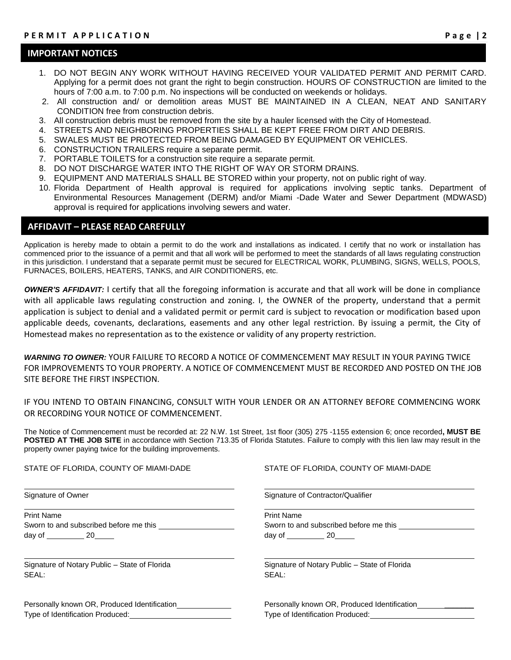#### **IMPORTANT NOTICES**

- 1. DO NOT BEGIN ANY WORK WITHOUT HAVING RECEIVED YOUR VALIDATED PERMIT AND PERMIT CARD. Applying for a permit does not grant the right to begin construction. HOURS OF CONSTRUCTION are limited to the hours of 7:00 a.m. to 7:00 p.m. No inspections will be conducted on weekends or holidays.
- 2. All construction and/ or demolition areas MUST BE MAINTAINED IN A CLEAN, NEAT AND SANITARY CONDITION free from construction debris.
- 3. All construction debris must be removed from the site by a hauler licensed with the City of Homestead.
- 4. STREETS AND NEIGHBORING PROPERTIES SHALL BE KEPT FREE FROM DIRT AND DEBRIS.
- 5. SWALES MUST BE PROTECTED FROM BEING DAMAGED BY EQUIPMENT OR VEHICLES.
- 6. CONSTRUCTION TRAILERS require a separate permit.
- 7. PORTABLE TOILETS for a construction site require a separate permit.
- 8. DO NOT DISCHARGE WATER INTO THE RIGHT OF WAY OR STORM DRAINS.
- 9. EQUIPMENT AND MATERIALS SHALL BE STORED within your property, not on public right of way.
- 10. Florida Department of Health approval is required for applications involving septic tanks. Department of Environmental Resources Management (DERM) and/or Miami -Dade Water and Sewer Department (MDWASD) approval is required for applications involving sewers and water.

### **AFFIDAVIT – PLEASE READ CAREFULLY**

Application is hereby made to obtain a permit to do the work and installations as indicated. I certify that no work or installation has commenced prior to the issuance of a permit and that all work will be performed to meet the standards of all laws regulating construction in this jurisdiction. I understand that a separate permit must be secured for ELECTRICAL WORK, PLUMBING, SIGNS, WELLS, POOLS, FURNACES, BOILERS, HEATERS, TANKS, and AIR CONDITIONERS, etc.

*OWNER'S AFFIDAVIT:* I certify that all the foregoing information is accurate and that all work will be done in compliance with all applicable laws regulating construction and zoning. I, the OWNER of the property, understand that a permit application is subject to denial and a validated permit or permit card is subject to revocation or modification based upon applicable deeds, covenants, declarations, easements and any other legal restriction. By issuing a permit, the City of Homestead makes no representation as to the existence or validity of any property restriction.

*WARNING TO OWNER:* YOUR FAILURE TO RECORD A NOTICE OF COMMENCEMENT MAY RESULT IN YOUR PAYING TWICE FOR IMPROVEMENTS TO YOUR PROPERTY. A NOTICE OF COMMENCEMENT MUST BE RECORDED AND POSTED ON THE JOB SITE BEFORE THE FIRST INSPECTION.

IF YOU INTEND TO OBTAIN FINANCING, CONSULT WITH YOUR LENDER OR AN ATTORNEY BEFORE COMMENCING WORK OR RECORDING YOUR NOTICE OF COMMENCEMENT.

The Notice of Commencement must be recorded at: 22 N.W. 1st Street, 1st floor (305) 275 -1155 extension 6; once recorded**, MUST BE POSTED AT THE JOB SITE** in accordance with Section 713.35 of Florida Statutes. Failure to comply with this lien law may result in the property owner paying twice for the building improvements.

| STATE OF FLORIDA, COUNTY OF MIAMI-DADE        | STATE OF FLORIDA, COUNTY OF MIAMI-DADE        |  |  |
|-----------------------------------------------|-----------------------------------------------|--|--|
| Signature of Owner                            | Signature of Contractor/Qualifier             |  |  |
| <b>Print Name</b>                             | <b>Print Name</b>                             |  |  |
| Sworn to and subscribed before me this        | Sworn to and subscribed before me this        |  |  |
| day of 20                                     | day of 20                                     |  |  |
| Signature of Notary Public - State of Florida | Signature of Notary Public - State of Florida |  |  |
| SEAL:                                         | SEAL:                                         |  |  |
| Personally known OR, Produced Identification  | Personally known OR, Produced Identification  |  |  |
| Type of Identification Produced:              | Type of Identification Produced:              |  |  |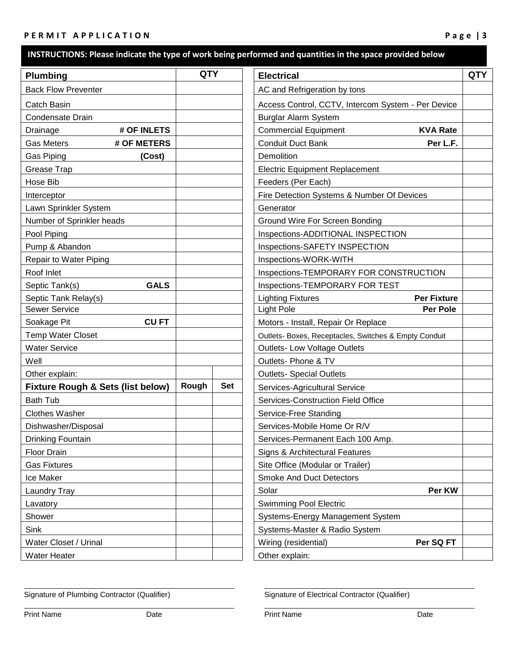### P E R M I T A P P LICATION

| <b>Plumbing</b>                              | <b>QTY</b> |            | <b>Electrical</b>                                     | <b>QTY</b> |
|----------------------------------------------|------------|------------|-------------------------------------------------------|------------|
| <b>Back Flow Preventer</b>                   |            |            | AC and Refrigeration by tons                          |            |
| Catch Basin                                  |            |            | Access Control, CCTV, Intercom System - Per Device    |            |
| Condensate Drain                             |            |            | <b>Burglar Alarm System</b>                           |            |
| Drainage<br># OF INLETS                      |            |            | <b>Commercial Equipment</b><br><b>KVA Rate</b>        |            |
| <b>Gas Meters</b><br># OF METERS             |            |            | <b>Conduit Duct Bank</b><br>Per L.F.                  |            |
| Gas Piping<br>(Cost)                         |            |            | Demolition                                            |            |
| Grease Trap                                  |            |            | <b>Electric Equipment Replacement</b>                 |            |
| Hose Bib                                     |            |            | Feeders (Per Each)                                    |            |
| Interceptor                                  |            |            | Fire Detection Systems & Number Of Devices            |            |
| Lawn Sprinkler System                        |            |            | Generator                                             |            |
| Number of Sprinkler heads                    |            |            | Ground Wire For Screen Bonding                        |            |
| Pool Piping                                  |            |            | Inspections-ADDITIONAL INSPECTION                     |            |
| Pump & Abandon                               |            |            | Inspections-SAFETY INSPECTION                         |            |
| Repair to Water Piping                       |            |            | Inspections-WORK-WITH                                 |            |
| Roof Inlet                                   |            |            | Inspections-TEMPORARY FOR CONSTRUCTION                |            |
| Septic Tank(s)<br><b>GALS</b>                |            |            | Inspections-TEMPORARY FOR TEST                        |            |
| Septic Tank Relay(s)                         |            |            | <b>Per Fixture</b><br><b>Lighting Fixtures</b>        |            |
| <b>Sewer Service</b>                         |            |            | <b>Light Pole</b><br>Per Pole                         |            |
| Soakage Pit<br><b>CUFT</b>                   |            |            | Motors - Install, Repair Or Replace                   |            |
| <b>Temp Water Closet</b>                     |            |            | Outlets- Boxes, Receptacles, Switches & Empty Conduit |            |
| <b>Water Service</b>                         |            |            | <b>Outlets-Low Voltage Outlets</b>                    |            |
| Well                                         |            |            | Outlets- Phone & TV                                   |            |
| Other explain:                               |            |            | <b>Outlets- Special Outlets</b>                       |            |
| <b>Fixture Rough &amp; Sets (list below)</b> | Rough      | <b>Set</b> | Services-Agricultural Service                         |            |
| <b>Bath Tub</b>                              |            |            | <b>Services-Construction Field Office</b>             |            |
| <b>Clothes Washer</b>                        |            |            | Service-Free Standing                                 |            |
| Dishwasher/Disposal                          |            |            | Services-Mobile Home Or R/V                           |            |
| Drinking Fountain                            |            |            | Services-Permanent Each 100 Amp.                      |            |
| Floor Drain                                  |            |            | Signs & Architectural Features                        |            |
| <b>Gas Fixtures</b>                          |            |            | Site Office (Modular or Trailer)                      |            |
| Ice Maker                                    |            |            | <b>Smoke And Duct Detectors</b>                       |            |
| Laundry Tray                                 |            |            | Per KW<br>Solar                                       |            |
| Lavatory                                     |            |            | <b>Swimming Pool Electric</b>                         |            |
| Shower                                       |            |            | Systems-Energy Management System                      |            |
| Sink                                         |            |            | Systems-Master & Radio System                         |            |
| Water Closet / Urinal                        |            |            | Wiring (residential)<br>Per SQ FT                     |            |
| Water Heater                                 |            |            | Other explain:                                        |            |

Signature of Plumbing Contractor (Qualifier) Signature of Electrical Contractor (Qualifier)

Print Name **Date Date Date Print Name Date Date Date**